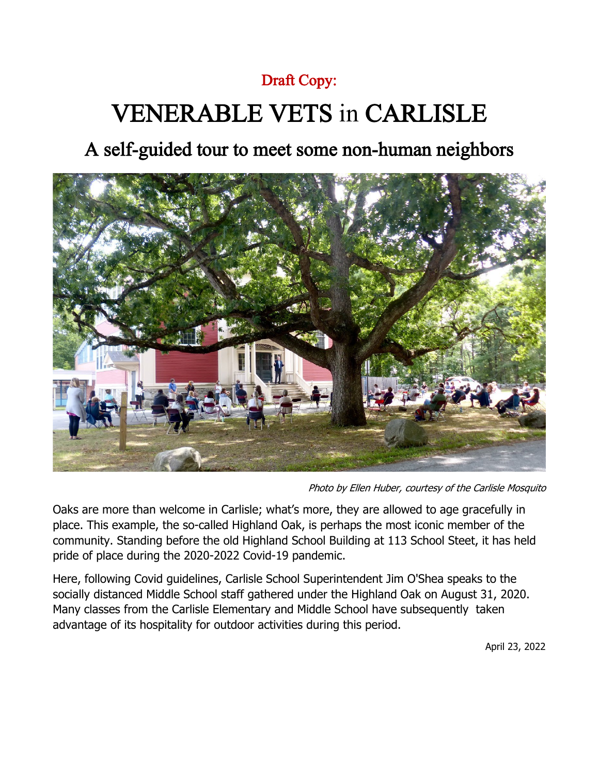#### Draft Copy:

# VENERABLE VETS in CARLISLE

### A self-guided tour to meet some non-human neighbors



Photo by Ellen Huber, courtesy of the Carlisle Mosquito

Oaks are more than welcome in Carlisle; what's more, they are allowed to age gracefully in place. This example, the so-called Highland Oak, is perhaps the most iconic member of the community. Standing before the old Highland School Building at 113 School Steet, it has held pride of place during the 2020-2022 Covid-19 pandemic.

Here, following Covid guidelines, Carlisle School Superintendent Jim O'Shea speaks to the socially distanced Middle School staff gathered under the Highland Oak on August 31, 2020. Many classes from the Carlisle Elementary and Middle School have subsequently taken advantage of its hospitality for outdoor activities during this period.

April 23, 2022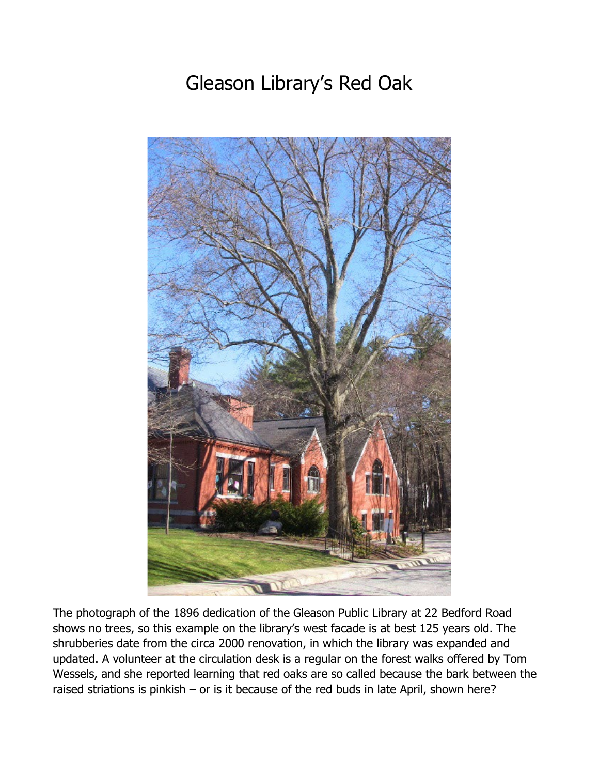# Gleason Library's Red Oak



The photograph of the 1896 dedication of the Gleason Public Library at 22 Bedford Road shows no trees, so this example on the library's west facade is at best 125 years old. The shrubberies date from the circa 2000 renovation, in which the library was expanded and updated. A volunteer at the circulation desk is a regular on the forest walks offered by Tom Wessels, and she reported learning that red oaks are so called because the bark between the raised striations is pinkish – or is it because of the red buds in late April, shown here?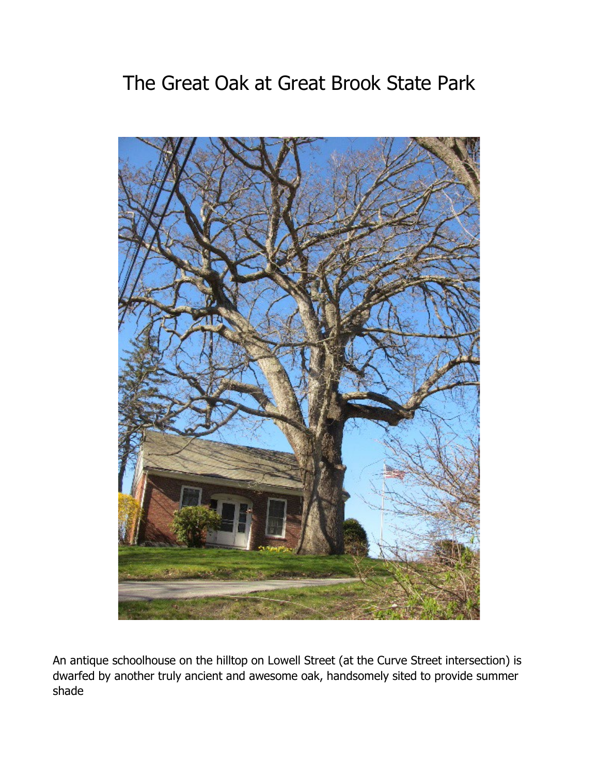# The Great Oak at Great Brook State Park



An antique schoolhouse on the hilltop on Lowell Street (at the Curve Street intersection) is dwarfed by another truly ancient and awesome oak, handsomely sited to provide summer shade